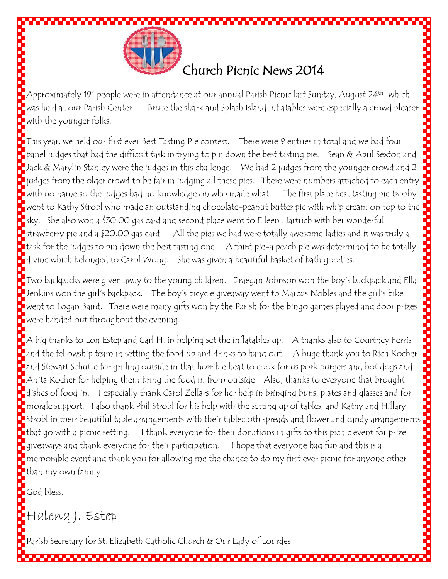

 $\Box$ Approximately 191 people were in attendance at our annual Parish Picnic last Sunday, August 24th which was held at our Parish Center. Bruce the shark and Splash Island inflatables were especially a crowd pleaser with the younger folks.

 $\blacksquare$ This year, we held our first ever Best Tasting Pie contest.  $\blacksquare$  There were 9 entries in total and we had four  $\Box$ panel judges that had the difficult task in trying to pin down the best tasting pie. Sean & April Sexton and Jack & Marylin Stanley were the judges in this challenge. We had 2 judges from the younger crowd and 2 judges from the older crowd to be fair in judging all these pies. There were numbers attached to each entry with no name so the judges had no knowledge on who made what. The first place best tasting pie trophy went to Kathy Strobl who made an outstanding chocolate-peanut butter pie with whip cream on top to the sky. She also won a \$30.00 gas card and second place went to Eileen Hartrich with her wonderful  $\blacksquare$ strawberry pie and a \$20.00 gas card.  $\blacksquare$  All the pies we had were totally awesome ladies and it was truly a task for the judges to pin down the best tasting one. A third pie-a peach pie was determined to be totally divine which belonged to Carol Wong. She was given a beautiful basket of bath goodies.

Two backpacks were given away to the young children. Draegan Johnson won the boy's backpack and Ella  $\blacksquare$ Jenkins won the girl's backpack. The boy's bicycle giveaway went to Marcus Nobles and the girl's bike went to Logan Baird. There were many gifts won by the Parish for the bingo games played and door prizes were handed out throughout the evening.

 $\blacksquare$ A big thanks to Lon Estep and Carl H. in helping set the inflatables up.  $\hspace{0.1mm}$  A thanks also to Courtney Ferris  $\Box$ and the fellowship team in setting the food up and drinks to hand out.  $\Box$  A huge thank you to Rich Kocher and Stewart Schutte for grilling outside in that horrible heat to cook for us pork burgers and hot dogs and Anita Kocher for helping them bring the food in from outside. Also, thanks to everyone that brought dishes of food in. I especially thank Carol Zellars for her help in bringing buns, plates and glasses and for morale support. I also thank Phil Strobl for his help with the setting up of tables, and Kathy and Hillary Next to Logan Baird. There were many gifts won by the Parish for the bingo games played and door prizes<br>
were handed out throughout the evening.<br>
A big thanks to Lon Estep and Carl H. in helping set the inflatables up. A t  $\vert$ that go with a picnic setting.  $\;$  I thank everyone for their donations in gifts to this picnic event for prize  $\blacksquare$ giveaways and thank everyone for their participation. I hope that everyone had fun and this is a  $\blacksquare$ memorable event and thank you for allowing me the chance to do my first ever picnic for anyone other than my own family.

God bless,

Halena J. Estep

Parish Secretary for St. Elizabeth Catholic Church & Our Lady of Lourdes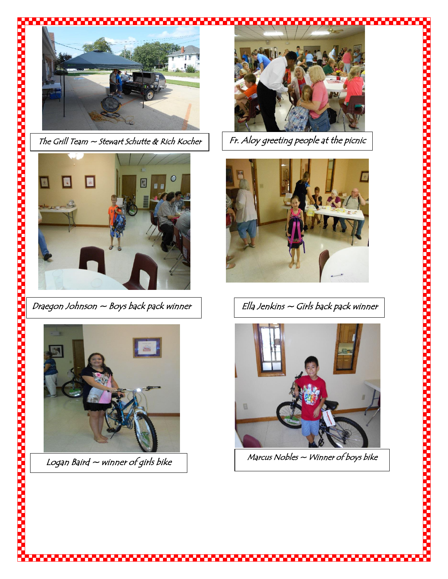

The Grill Team  $\sim$  Stewart Schutte & Rich Kocher  $\vert \ \vert$  Fr. Aloy greeting people at the picnic





Logan Baird  $\sim$  winner of girls bike





Draegon Johnson  $\sim$  Boys back pack winner  $\vert \qquad \vert$  Ella Jenkins  $\sim$  Girls back pack winner



 $M$ arcus Nobles  $\sim$  Winner of boys bike